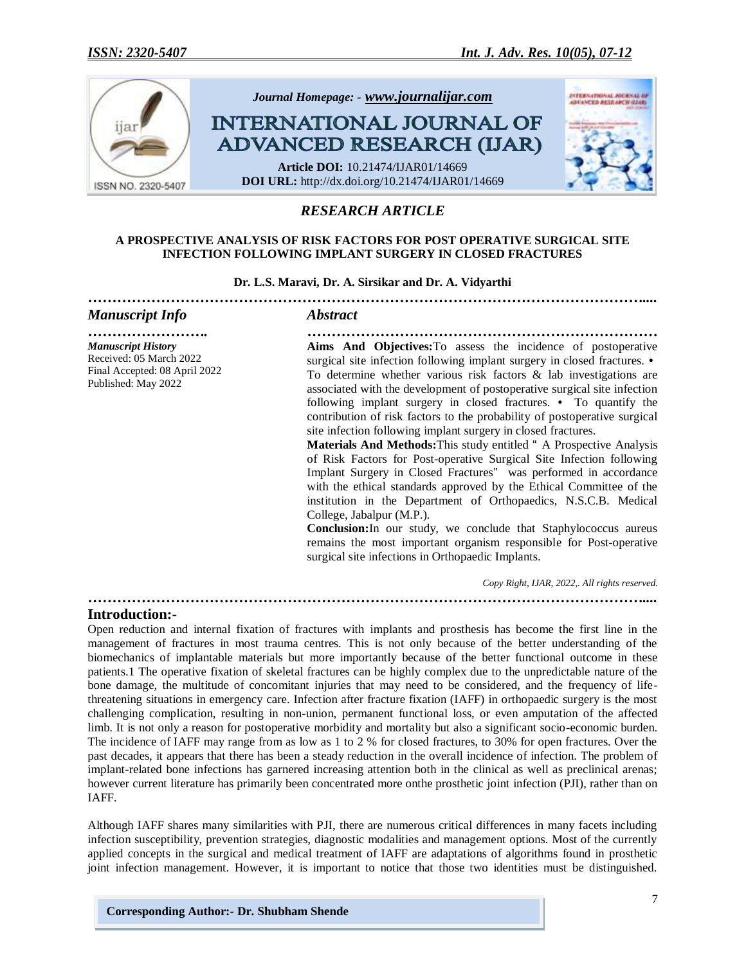

# *RESEARCH ARTICLE*

#### **A PROSPECTIVE ANALYSIS OF RISK FACTORS FOR POST OPERATIVE SURGICAL SITE INFECTION FOLLOWING IMPLANT SURGERY IN CLOSED FRACTURES**

#### **Dr. L.S. Maravi, Dr. A. Sirsikar and Dr. A. Vidyarthi**

| <b>Manuscript Info</b>                                                                                       | <i><b>Abstract</b></i>                                                                                                                                                                                                                                                                                                                                                                                                                                                                                                                                                                                                                                                                                                                                                                                                                                                                                                                                                                                                                                                                                                  |
|--------------------------------------------------------------------------------------------------------------|-------------------------------------------------------------------------------------------------------------------------------------------------------------------------------------------------------------------------------------------------------------------------------------------------------------------------------------------------------------------------------------------------------------------------------------------------------------------------------------------------------------------------------------------------------------------------------------------------------------------------------------------------------------------------------------------------------------------------------------------------------------------------------------------------------------------------------------------------------------------------------------------------------------------------------------------------------------------------------------------------------------------------------------------------------------------------------------------------------------------------|
| <b>Manuscript History</b><br>Received: 05 March 2022<br>Final Accepted: 08 April 2022<br>Published: May 2022 | Aims And Objectives: To assess the incidence of postoperative<br>surgical site infection following implant surgery in closed fractures. •<br>To determine whether various risk factors $\&$ lab investigations are<br>associated with the development of postoperative surgical site infection<br>following implant surgery in closed fractures. • To quantify the<br>contribution of risk factors to the probability of postoperative surgical<br>site infection following implant surgery in closed fractures.<br><b>Materials And Methods:</b> This study entitled " A Prospective Analysis<br>of Risk Factors for Post-operative Surgical Site Infection following<br>Implant Surgery in Closed Fractures" was performed in accordance<br>with the ethical standards approved by the Ethical Committee of the<br>institution in the Department of Orthopaedics, N.S.C.B. Medical<br>College, Jabalpur (M.P.).<br><b>Conclusion:</b> In our study, we conclude that Staphylococcus aureus<br>remains the most important organism responsible for Post-operative<br>surgical site infections in Orthopaedic Implants. |
|                                                                                                              | Copy Right, IJAR, 2022,. All rights reserved.                                                                                                                                                                                                                                                                                                                                                                                                                                                                                                                                                                                                                                                                                                                                                                                                                                                                                                                                                                                                                                                                           |

*……………………………………………………………………………………………………....*

# **Introduction:-**

Open reduction and internal fixation of fractures with implants and prosthesis has become the first line in the management of fractures in most trauma centres. This is not only because of the better understanding of the biomechanics of implantable materials but more importantly because of the better functional outcome in these patients.1 The operative fixation of skeletal fractures can be highly complex due to the unpredictable nature of the bone damage, the multitude of concomitant injuries that may need to be considered, and the frequency of lifethreatening situations in emergency care. Infection after fracture fixation (IAFF) in orthopaedic surgery is the most challenging complication, resulting in non-union, permanent functional loss, or even amputation of the affected limb. It is not only a reason for postoperative morbidity and mortality but also a significant socio-economic burden. The incidence of IAFF may range from as low as 1 to 2 % for closed fractures, to 30% for open fractures. Over the past decades, it appears that there has been a steady reduction in the overall incidence of infection. The problem of implant-related bone infections has garnered increasing attention both in the clinical as well as preclinical arenas; however current literature has primarily been concentrated more onthe prosthetic joint infection (PJI), rather than on IAFF.

Although IAFF shares many similarities with PJI, there are numerous critical differences in many facets including infection susceptibility, prevention strategies, diagnostic modalities and management options. Most of the currently applied concepts in the surgical and medical treatment of IAFF are adaptations of algorithms found in prosthetic joint infection management. However, it is important to notice that those two identities must be distinguished.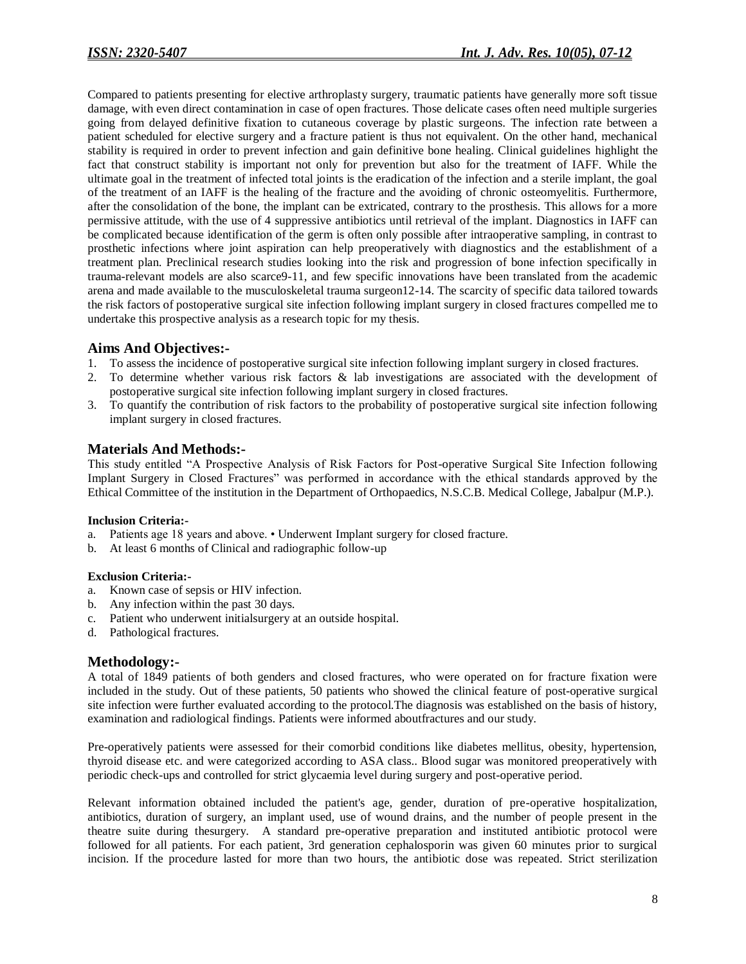Compared to patients presenting for elective arthroplasty surgery, traumatic patients have generally more soft tissue damage, with even direct contamination in case of open fractures. Those delicate cases often need multiple surgeries going from delayed definitive fixation to cutaneous coverage by plastic surgeons. The infection rate between a patient scheduled for elective surgery and a fracture patient is thus not equivalent. On the other hand, mechanical stability is required in order to prevent infection and gain definitive bone healing. Clinical guidelines highlight the fact that construct stability is important not only for prevention but also for the treatment of IAFF. While the ultimate goal in the treatment of infected total joints is the eradication of the infection and a sterile implant, the goal of the treatment of an IAFF is the healing of the fracture and the avoiding of chronic osteomyelitis. Furthermore, after the consolidation of the bone, the implant can be extricated, contrary to the prosthesis. This allows for a more permissive attitude, with the use of 4 suppressive antibiotics until retrieval of the implant. Diagnostics in IAFF can be complicated because identification of the germ is often only possible after intraoperative sampling, in contrast to prosthetic infections where joint aspiration can help preoperatively with diagnostics and the establishment of a treatment plan. Preclinical research studies looking into the risk and progression of bone infection specifically in trauma-relevant models are also scarce9-11, and few specific innovations have been translated from the academic arena and made available to the musculoskeletal trauma surgeon12-14. The scarcity of specific data tailored towards the risk factors of postoperative surgical site infection following implant surgery in closed fractures compelled me to undertake this prospective analysis as a research topic for my thesis.

### **Aims And Objectives:-**

- 1. To assess the incidence of postoperative surgical site infection following implant surgery in closed fractures.
- 2. To determine whether various risk factors & lab investigations are associated with the development of postoperative surgical site infection following implant surgery in closed fractures.
- 3. To quantify the contribution of risk factors to the probability of postoperative surgical site infection following implant surgery in closed fractures.

# **Materials And Methods:-**

This study entitled "A Prospective Analysis of Risk Factors for Post-operative Surgical Site Infection following Implant Surgery in Closed Fractures" was performed in accordance with the ethical standards approved by the Ethical Committee of the institution in the Department of Orthopaedics, N.S.C.B. Medical College, Jabalpur (M.P.).

### **Inclusion Criteria:-**

- a. Patients age 18 years and above. Underwent Implant surgery for closed fracture.
- b. At least 6 months of Clinical and radiographic follow-up

### **Exclusion Criteria:-**

- a. Known case of sepsis or HIV infection.
- b. Any infection within the past 30 days.
- c. Patient who underwent initialsurgery at an outside hospital.
- d. Pathological fractures.

### **Methodology:-**

A total of 1849 patients of both genders and closed fractures, who were operated on for fracture fixation were included in the study. Out of these patients, 50 patients who showed the clinical feature of post-operative surgical site infection were further evaluated according to the protocol.The diagnosis was established on the basis of history, examination and radiological findings. Patients were informed aboutfractures and our study.

Pre-operatively patients were assessed for their comorbid conditions like diabetes mellitus, obesity, hypertension, thyroid disease etc. and were categorized according to ASA class.. Blood sugar was monitored preoperatively with periodic check-ups and controlled for strict glycaemia level during surgery and post-operative period.

Relevant information obtained included the patient's age, gender, duration of pre-operative hospitalization, antibiotics, duration of surgery, an implant used, use of wound drains, and the number of people present in the theatre suite during thesurgery. A standard pre-operative preparation and instituted antibiotic protocol were followed for all patients. For each patient, 3rd generation cephalosporin was given 60 minutes prior to surgical incision. If the procedure lasted for more than two hours, the antibiotic dose was repeated. Strict sterilization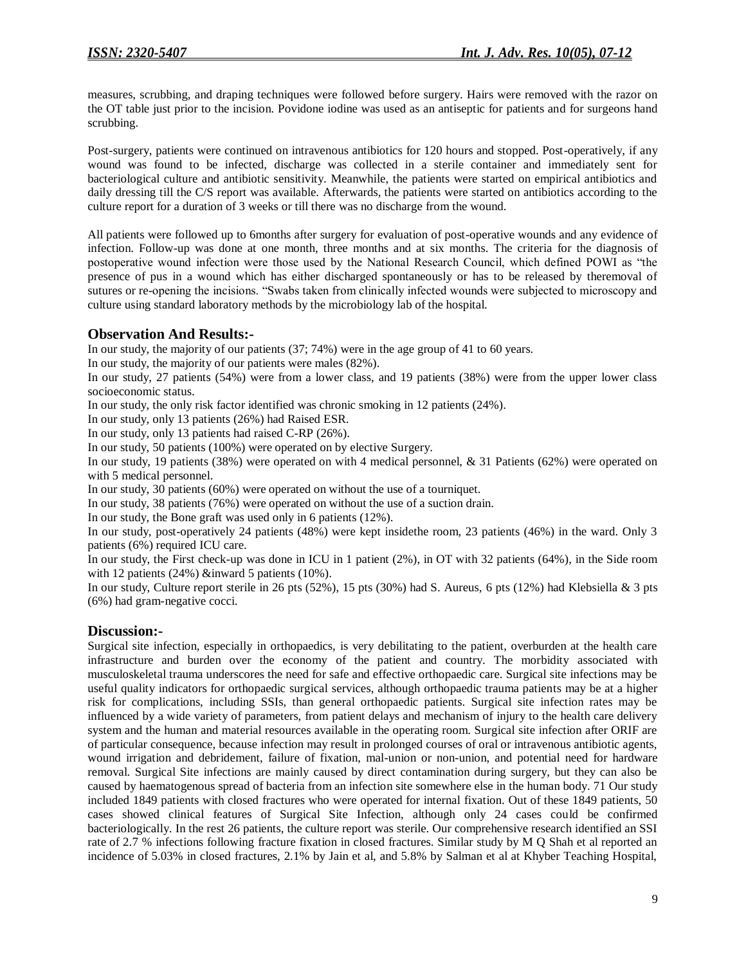measures, scrubbing, and draping techniques were followed before surgery. Hairs were removed with the razor on the OT table just prior to the incision. Povidone iodine was used as an antiseptic for patients and for surgeons hand scrubbing.

Post-surgery, patients were continued on intravenous antibiotics for 120 hours and stopped. Post-operatively, if any wound was found to be infected, discharge was collected in a sterile container and immediately sent for bacteriological culture and antibiotic sensitivity. Meanwhile, the patients were started on empirical antibiotics and daily dressing till the C/S report was available. Afterwards, the patients were started on antibiotics according to the culture report for a duration of 3 weeks or till there was no discharge from the wound.

All patients were followed up to 6months after surgery for evaluation of post-operative wounds and any evidence of infection. Follow-up was done at one month, three months and at six months. The criteria for the diagnosis of postoperative wound infection were those used by the National Research Council, which defined POWI as "the presence of pus in a wound which has either discharged spontaneously or has to be released by theremoval of sutures or re-opening the incisions. "Swabs taken from clinically infected wounds were subjected to microscopy and culture using standard laboratory methods by the microbiology lab of the hospital.

# **Observation And Results:-**

In our study, the majority of our patients (37; 74%) were in the age group of 41 to 60 years.

In our study, the majority of our patients were males (82%).

In our study, 27 patients (54%) were from a lower class, and 19 patients (38%) were from the upper lower class socioeconomic status.

In our study, the only risk factor identified was chronic smoking in 12 patients (24%).

In our study, only 13 patients (26%) had Raised ESR.

In our study, only 13 patients had raised C-RP (26%).

In our study, 50 patients (100%) were operated on by elective Surgery.

In our study, 19 patients (38%) were operated on with 4 medical personnel, & 31 Patients (62%) were operated on with 5 medical personnel.

In our study, 30 patients (60%) were operated on without the use of a tourniquet.

In our study, 38 patients (76%) were operated on without the use of a suction drain.

In our study, the Bone graft was used only in 6 patients (12%).

In our study, post-operatively 24 patients (48%) were kept insidethe room, 23 patients (46%) in the ward. Only 3 patients (6%) required ICU care.

In our study, the First check-up was done in ICU in 1 patient (2%), in OT with 32 patients (64%), in the Side room with 12 patients (24%) &inward 5 patients (10%).

In our study, Culture report sterile in 26 pts (52%), 15 pts (30%) had S. Aureus, 6 pts (12%) had Klebsiella & 3 pts (6%) had gram-negative cocci.

### **Discussion:-**

Surgical site infection, especially in orthopaedics, is very debilitating to the patient, overburden at the health care infrastructure and burden over the economy of the patient and country. The morbidity associated with musculoskeletal trauma underscores the need for safe and effective orthopaedic care. Surgical site infections may be useful quality indicators for orthopaedic surgical services, although orthopaedic trauma patients may be at a higher risk for complications, including SSIs, than general orthopaedic patients. Surgical site infection rates may be influenced by a wide variety of parameters, from patient delays and mechanism of injury to the health care delivery system and the human and material resources available in the operating room. Surgical site infection after ORIF are of particular consequence, because infection may result in prolonged courses of oral or intravenous antibiotic agents, wound irrigation and debridement, failure of fixation, mal-union or non-union, and potential need for hardware removal. Surgical Site infections are mainly caused by direct contamination during surgery, but they can also be caused by haematogenous spread of bacteria from an infection site somewhere else in the human body. 71 Our study included 1849 patients with closed fractures who were operated for internal fixation. Out of these 1849 patients, 50 cases showed clinical features of Surgical Site Infection, although only 24 cases could be confirmed bacteriologically. In the rest 26 patients, the culture report was sterile. Our comprehensive research identified an SSI rate of 2.7 % infections following fracture fixation in closed fractures. Similar study by M Q Shah et al reported an incidence of 5.03% in closed fractures, 2.1% by Jain et al, and 5.8% by Salman et al at Khyber Teaching Hospital,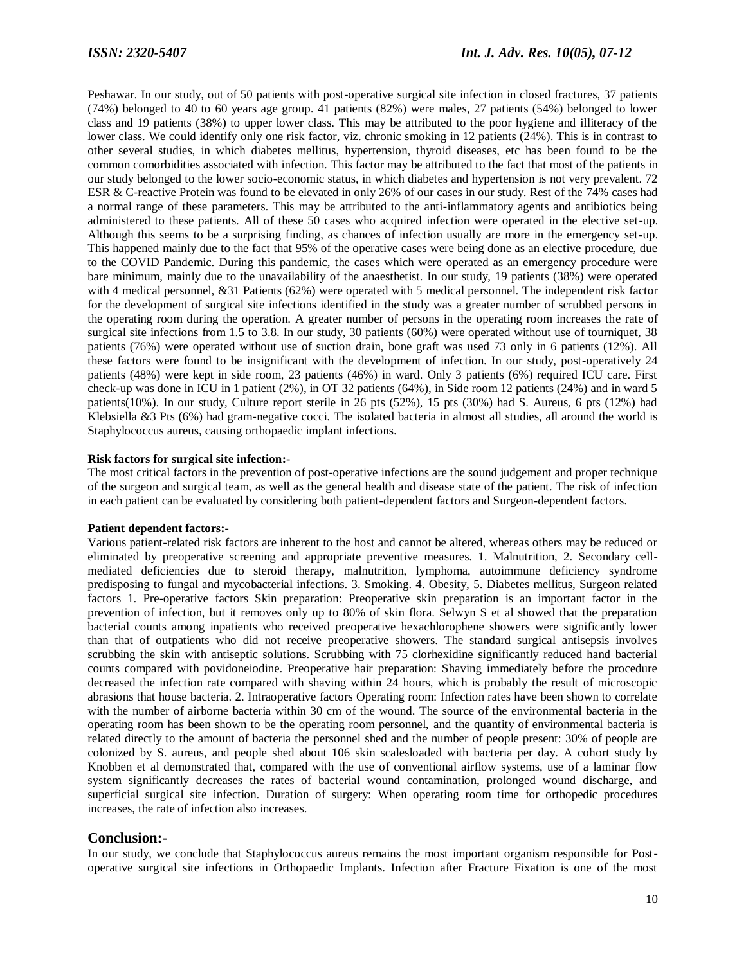Peshawar. In our study, out of 50 patients with post-operative surgical site infection in closed fractures, 37 patients (74%) belonged to 40 to 60 years age group. 41 patients (82%) were males, 27 patients (54%) belonged to lower class and 19 patients (38%) to upper lower class. This may be attributed to the poor hygiene and illiteracy of the lower class. We could identify only one risk factor, viz. chronic smoking in 12 patients (24%). This is in contrast to other several studies, in which diabetes mellitus, hypertension, thyroid diseases, etc has been found to be the common comorbidities associated with infection. This factor may be attributed to the fact that most of the patients in our study belonged to the lower socio-economic status, in which diabetes and hypertension is not very prevalent. 72 ESR & C-reactive Protein was found to be elevated in only 26% of our cases in our study. Rest of the 74% cases had a normal range of these parameters. This may be attributed to the anti-inflammatory agents and antibiotics being administered to these patients. All of these 50 cases who acquired infection were operated in the elective set-up. Although this seems to be a surprising finding, as chances of infection usually are more in the emergency set-up. This happened mainly due to the fact that 95% of the operative cases were being done as an elective procedure, due to the COVID Pandemic. During this pandemic, the cases which were operated as an emergency procedure were bare minimum, mainly due to the unavailability of the anaesthetist. In our study, 19 patients (38%) were operated with 4 medical personnel, &31 Patients (62%) were operated with 5 medical personnel. The independent risk factor for the development of surgical site infections identified in the study was a greater number of scrubbed persons in the operating room during the operation. A greater number of persons in the operating room increases the rate of surgical site infections from 1.5 to 3.8. In our study, 30 patients (60%) were operated without use of tourniquet, 38 patients (76%) were operated without use of suction drain, bone graft was used 73 only in 6 patients (12%). All these factors were found to be insignificant with the development of infection. In our study, post-operatively 24 patients (48%) were kept in side room, 23 patients (46%) in ward. Only 3 patients (6%) required ICU care. First check-up was done in ICU in 1 patient (2%), in OT 32 patients (64%), in Side room 12 patients (24%) and in ward 5 patients(10%). In our study, Culture report sterile in 26 pts (52%), 15 pts (30%) had S. Aureus, 6 pts (12%) had Klebsiella &3 Pts (6%) had gram-negative cocci. The isolated bacteria in almost all studies, all around the world is Staphylococcus aureus, causing orthopaedic implant infections.

#### **Risk factors for surgical site infection:-**

The most critical factors in the prevention of post-operative infections are the sound judgement and proper technique of the surgeon and surgical team, as well as the general health and disease state of the patient. The risk of infection in each patient can be evaluated by considering both patient-dependent factors and Surgeon-dependent factors.

#### **Patient dependent factors:-**

Various patient-related risk factors are inherent to the host and cannot be altered, whereas others may be reduced or eliminated by preoperative screening and appropriate preventive measures. 1. Malnutrition, 2. Secondary cellmediated deficiencies due to steroid therapy, malnutrition, lymphoma, autoimmune deficiency syndrome predisposing to fungal and mycobacterial infections. 3. Smoking. 4. Obesity, 5. Diabetes mellitus, Surgeon related factors 1. Pre-operative factors Skin preparation: Preoperative skin preparation is an important factor in the prevention of infection, but it removes only up to 80% of skin flora. Selwyn S et al showed that the preparation bacterial counts among inpatients who received preoperative hexachlorophene showers were significantly lower than that of outpatients who did not receive preoperative showers. The standard surgical antisepsis involves scrubbing the skin with antiseptic solutions. Scrubbing with 75 clorhexidine significantly reduced hand bacterial counts compared with povidoneiodine. Preoperative hair preparation: Shaving immediately before the procedure decreased the infection rate compared with shaving within 24 hours, which is probably the result of microscopic abrasions that house bacteria. 2. Intraoperative factors Operating room: Infection rates have been shown to correlate with the number of airborne bacteria within 30 cm of the wound. The source of the environmental bacteria in the operating room has been shown to be the operating room personnel, and the quantity of environmental bacteria is related directly to the amount of bacteria the personnel shed and the number of people present: 30% of people are colonized by S. aureus, and people shed about 106 skin scalesloaded with bacteria per day. A cohort study by Knobben et al demonstrated that, compared with the use of conventional airflow systems, use of a laminar flow system significantly decreases the rates of bacterial wound contamination, prolonged wound discharge, and superficial surgical site infection. Duration of surgery: When operating room time for orthopedic procedures increases, the rate of infection also increases.

### **Conclusion:-**

In our study, we conclude that Staphylococcus aureus remains the most important organism responsible for Postoperative surgical site infections in Orthopaedic Implants. Infection after Fracture Fixation is one of the most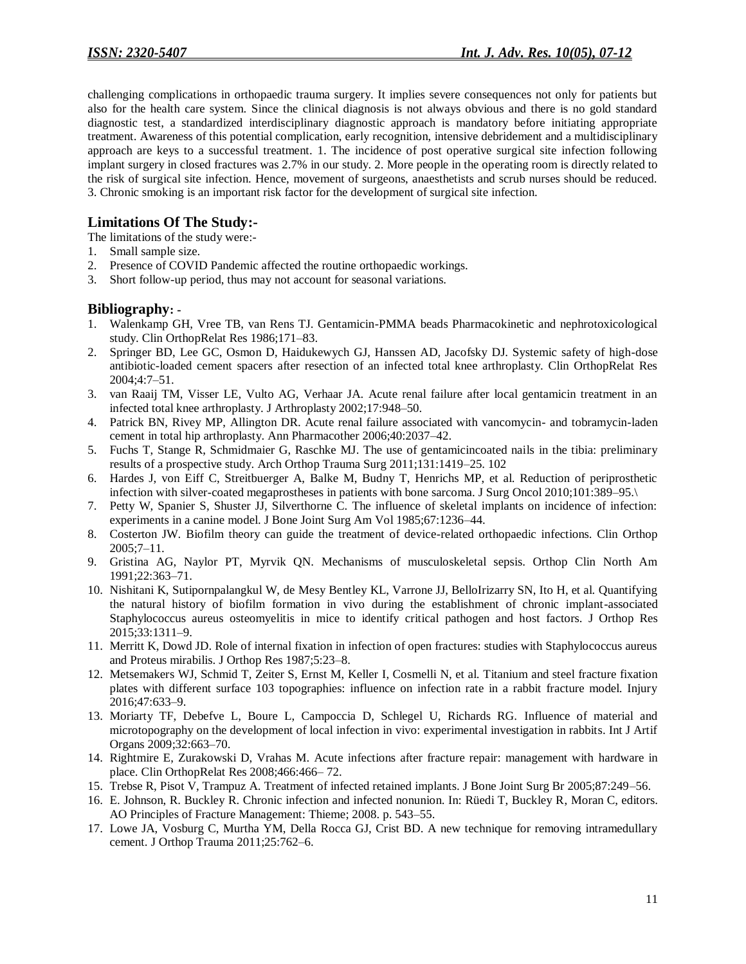challenging complications in orthopaedic trauma surgery. It implies severe consequences not only for patients but also for the health care system. Since the clinical diagnosis is not always obvious and there is no gold standard diagnostic test, a standardized interdisciplinary diagnostic approach is mandatory before initiating appropriate treatment. Awareness of this potential complication, early recognition, intensive debridement and a multidisciplinary approach are keys to a successful treatment. 1. The incidence of post operative surgical site infection following implant surgery in closed fractures was 2.7% in our study. 2. More people in the operating room is directly related to the risk of surgical site infection. Hence, movement of surgeons, anaesthetists and scrub nurses should be reduced. 3. Chronic smoking is an important risk factor for the development of surgical site infection.

# **Limitations Of The Study:-**

- The limitations of the study were:-
- 1. Small sample size.
- 2. Presence of COVID Pandemic affected the routine orthopaedic workings.
- 3. Short follow-up period, thus may not account for seasonal variations.

# **Bibliography: -**

- 1. Walenkamp GH, Vree TB, van Rens TJ. Gentamicin-PMMA beads Pharmacokinetic and nephrotoxicological study. Clin OrthopRelat Res 1986;171–83.
- 2. Springer BD, Lee GC, Osmon D, Haidukewych GJ, Hanssen AD, Jacofsky DJ. Systemic safety of high-dose antibiotic-loaded cement spacers after resection of an infected total knee arthroplasty. Clin OrthopRelat Res 2004;4:7–51.
- 3. van Raaij TM, Visser LE, Vulto AG, Verhaar JA. Acute renal failure after local gentamicin treatment in an infected total knee arthroplasty. J Arthroplasty 2002;17:948–50.
- 4. Patrick BN, Rivey MP, Allington DR. Acute renal failure associated with vancomycin- and tobramycin-laden cement in total hip arthroplasty. Ann Pharmacother 2006;40:2037–42.
- 5. Fuchs T, Stange R, Schmidmaier G, Raschke MJ. The use of gentamicincoated nails in the tibia: preliminary results of a prospective study. Arch Orthop Trauma Surg 2011;131:1419–25. 102
- 6. Hardes J, von Eiff C, Streitbuerger A, Balke M, Budny T, Henrichs MP, et al. Reduction of periprosthetic infection with silver-coated megaprostheses in patients with bone sarcoma. J Surg Oncol 2010;101:389–95.
- 7. Petty W, Spanier S, Shuster JJ, Silverthorne C. The influence of skeletal implants on incidence of infection: experiments in a canine model. J Bone Joint Surg Am Vol 1985;67:1236–44.
- 8. Costerton JW. Biofilm theory can guide the treatment of device-related orthopaedic infections. Clin Orthop 2005;7–11.
- 9. Gristina AG, Naylor PT, Myrvik QN. Mechanisms of musculoskeletal sepsis. Orthop Clin North Am 1991;22:363–71.
- 10. Nishitani K, Sutipornpalangkul W, de Mesy Bentley KL, Varrone JJ, BelloIrizarry SN, Ito H, et al. Quantifying the natural history of biofilm formation in vivo during the establishment of chronic implant-associated Staphylococcus aureus osteomyelitis in mice to identify critical pathogen and host factors. J Orthop Res 2015;33:1311–9.
- 11. Merritt K, Dowd JD. Role of internal fixation in infection of open fractures: studies with Staphylococcus aureus and Proteus mirabilis. J Orthop Res 1987;5:23–8.
- 12. Metsemakers WJ, Schmid T, Zeiter S, Ernst M, Keller I, Cosmelli N, et al. Titanium and steel fracture fixation plates with different surface 103 topographies: influence on infection rate in a rabbit fracture model. Injury 2016;47:633–9.
- 13. Moriarty TF, Debefve L, Boure L, Campoccia D, Schlegel U, Richards RG. Influence of material and microtopography on the development of local infection in vivo: experimental investigation in rabbits. Int J Artif Organs 2009;32:663–70.
- 14. Rightmire E, Zurakowski D, Vrahas M. Acute infections after fracture repair: management with hardware in place. Clin OrthopRelat Res 2008;466:466– 72.
- 15. Trebse R, Pisot V, Trampuz A. Treatment of infected retained implants. J Bone Joint Surg Br 2005;87:249–56.
- 16. E. Johnson, R. Buckley R. Chronic infection and infected nonunion. In: Rüedi T, Buckley R, Moran C, editors. AO Principles of Fracture Management: Thieme; 2008. p. 543–55.
- 17. Lowe JA, Vosburg C, Murtha YM, Della Rocca GJ, Crist BD. A new technique for removing intramedullary cement. J Orthop Trauma 2011;25:762–6.